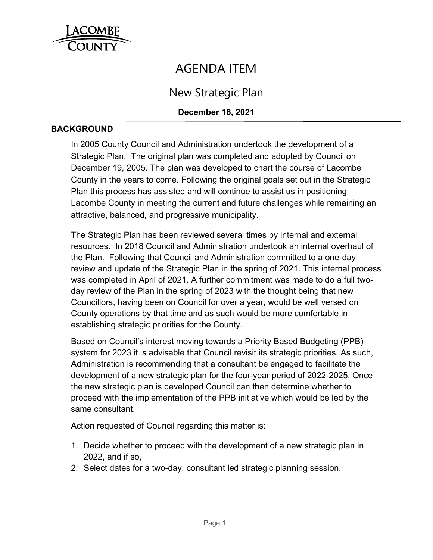

# AGENDA ITEM

New Strategic Plan

## **December 16, 2021**

#### **BACKGROUND**

In 2005 County Council and Administration undertook the development of a Strategic Plan. The original plan was completed and adopted by Council on December 19, 2005. The plan was developed to chart the course of Lacombe County in the years to come. Following the original goals set out in the Strategic Plan this process has assisted and will continue to assist us in positioning Lacombe County in meeting the current and future challenges while remaining an attractive, balanced, and progressive municipality.

The Strategic Plan has been reviewed several times by internal and external resources. In 2018 Council and Administration undertook an internal overhaul of the Plan. Following that Council and Administration committed to a one-day review and update of the Strategic Plan in the spring of 2021. This internal process was completed in April of 2021. A further commitment was made to do a full twoday review of the Plan in the spring of 2023 with the thought being that new Councillors, having been on Council for over a year, would be well versed on County operations by that time and as such would be more comfortable in establishing strategic priorities for the County.

Based on Council's interest moving towards a Priority Based Budgeting (PPB) system for 2023 it is advisable that Council revisit its strategic priorities. As such, Administration is recommending that a consultant be engaged to facilitate the development of a new strategic plan for the four-year period of 2022-2025. Once the new strategic plan is developed Council can then determine whether to proceed with the implementation of the PPB initiative which would be led by the same consultant.

Action requested of Council regarding this matter is:

- 1. Decide whether to proceed with the development of a new strategic plan in 2022, and if so,
- 2. Select dates for a two-day, consultant led strategic planning session.